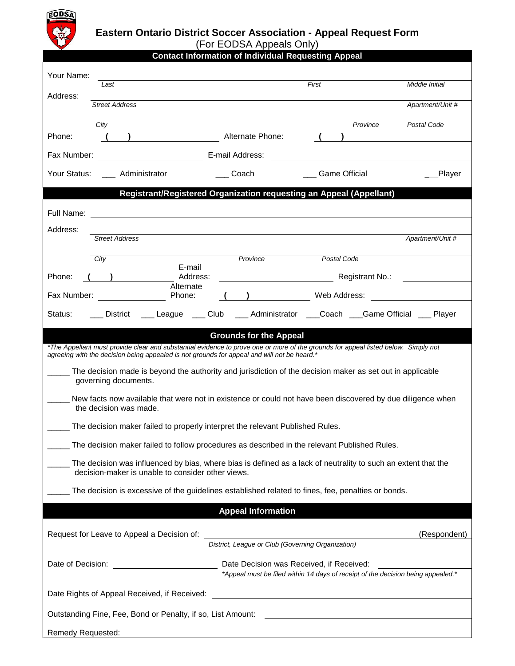

## **Eastern Ontario District Soccer Association - Appeal Request Form**

(For EODSA Appeals Only)

| <b>Contact Information of Individual Requesting Appeal</b>                                                                                                                                                                        |                                                             |                     |                 |                                                                                                                       |                      |                             |                  |
|-----------------------------------------------------------------------------------------------------------------------------------------------------------------------------------------------------------------------------------|-------------------------------------------------------------|---------------------|-----------------|-----------------------------------------------------------------------------------------------------------------------|----------------------|-----------------------------|------------------|
| Your Name:                                                                                                                                                                                                                        |                                                             |                     |                 |                                                                                                                       |                      |                             |                  |
| Address:                                                                                                                                                                                                                          | Last                                                        |                     |                 | First                                                                                                                 |                      |                             | Middle Initial   |
|                                                                                                                                                                                                                                   | <b>Street Address</b>                                       |                     |                 |                                                                                                                       |                      |                             | Apartment/Unit # |
|                                                                                                                                                                                                                                   | City                                                        |                     |                 |                                                                                                                       |                      | Province                    | Postal Code      |
| Phone:                                                                                                                                                                                                                            |                                                             |                     |                 | Alternate Phone:                                                                                                      |                      |                             |                  |
| Fax Number:                                                                                                                                                                                                                       |                                                             |                     | E-mail Address: |                                                                                                                       |                      |                             |                  |
| Administrator<br>Your Status:                                                                                                                                                                                                     |                                                             |                     | Coach           |                                                                                                                       | <b>Game Official</b> |                             | Player           |
|                                                                                                                                                                                                                                   |                                                             |                     |                 | Registrant/Registered Organization requesting an Appeal (Appellant)                                                   |                      |                             |                  |
| Full Name:                                                                                                                                                                                                                        |                                                             |                     |                 |                                                                                                                       |                      |                             |                  |
| Address:                                                                                                                                                                                                                          |                                                             |                     |                 |                                                                                                                       |                      |                             |                  |
|                                                                                                                                                                                                                                   | <b>Street Address</b>                                       |                     |                 |                                                                                                                       |                      |                             | Apartment/Unit # |
|                                                                                                                                                                                                                                   | City                                                        | E-mail              |                 | Province                                                                                                              | Postal Code          |                             |                  |
| Phone:                                                                                                                                                                                                                            | Address:<br>Alternate                                       |                     |                 |                                                                                                                       |                      | Registrant No.: Neglistrant |                  |
| Fax Number:                                                                                                                                                                                                                       |                                                             | Phone:              |                 |                                                                                                                       | Web Address:         |                             |                  |
| Status:                                                                                                                                                                                                                           | District                                                    | ___ League ___ Club |                 | ___ Administrator ____Coach ____Game Official ____ Player                                                             |                      |                             |                  |
| <b>Grounds for the Appeal</b>                                                                                                                                                                                                     |                                                             |                     |                 |                                                                                                                       |                      |                             |                  |
| *The Appellant must provide clear and substantial evidence to prove one or more of the grounds for appeal listed below. Simply not<br>agreeing with the decision being appealed is not grounds for appeal and will not be heard.* |                                                             |                     |                 |                                                                                                                       |                      |                             |                  |
| The decision made is beyond the authority and jurisdiction of the decision maker as set out in applicable<br>governing documents.                                                                                                 |                                                             |                     |                 |                                                                                                                       |                      |                             |                  |
| New facts now available that were not in existence or could not have been discovered by due diligence when<br>the decision was made.                                                                                              |                                                             |                     |                 |                                                                                                                       |                      |                             |                  |
| The decision maker failed to properly interpret the relevant Published Rules.                                                                                                                                                     |                                                             |                     |                 |                                                                                                                       |                      |                             |                  |
| The decision maker failed to follow procedures as described in the relevant Published Rules.                                                                                                                                      |                                                             |                     |                 |                                                                                                                       |                      |                             |                  |
| The decision was influenced by bias, where bias is defined as a lack of neutrality to such an extent that the<br>decision-maker is unable to consider other views.                                                                |                                                             |                     |                 |                                                                                                                       |                      |                             |                  |
| The decision is excessive of the guidelines established related to fines, fee, penalties or bonds.                                                                                                                                |                                                             |                     |                 |                                                                                                                       |                      |                             |                  |
|                                                                                                                                                                                                                                   |                                                             |                     |                 | <b>Appeal Information</b>                                                                                             |                      |                             |                  |
|                                                                                                                                                                                                                                   |                                                             |                     |                 |                                                                                                                       |                      |                             |                  |
|                                                                                                                                                                                                                                   | Request for Leave to Appeal a Decision of:                  |                     |                 | District, League or Club (Governing Organization)                                                                     |                      |                             | (Respondent)     |
| Date of Decision:                                                                                                                                                                                                                 |                                                             |                     |                 | Date Decision was Received, if Received:                                                                              |                      |                             |                  |
|                                                                                                                                                                                                                                   |                                                             |                     |                 | *Appeal must be filed within 14 days of receipt of the decision being appealed.*                                      |                      |                             |                  |
|                                                                                                                                                                                                                                   | Date Rights of Appeal Received, if Received:                |                     |                 | <u> 1989 - Johann Stoff, deutscher Stoffen und der Stoffen und der Stoffen und der Stoffen und der Stoffen und de</u> |                      |                             |                  |
|                                                                                                                                                                                                                                   | Outstanding Fine, Fee, Bond or Penalty, if so, List Amount: |                     |                 |                                                                                                                       |                      |                             |                  |
| <b>Remedy Requested:</b>                                                                                                                                                                                                          |                                                             |                     |                 |                                                                                                                       |                      |                             |                  |